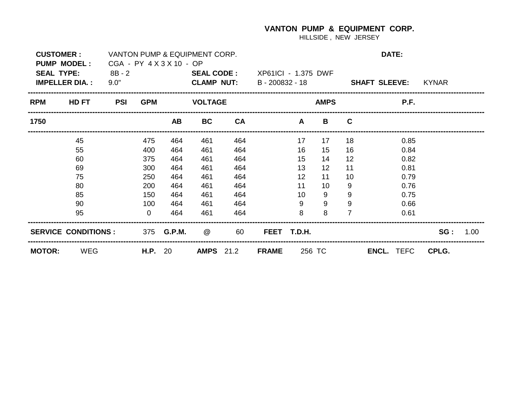## **VANTON PUMP & EQUIPMENT CORP.**

HILLSIDE , NEW JERSEY

| <b>CUSTOMER:</b><br><b>PUMP MODEL:</b><br><b>SEAL TYPE:</b><br><b>IMPELLER DIA.:</b> |                            | VANTON PUMP & EQUIPMENT CORP.<br>CGA - PY 4 X 3 X 10 - OP |            |                   |                   |           |                                                          |             | DATE:           |                      |  |                   |              |      |  |
|--------------------------------------------------------------------------------------|----------------------------|-----------------------------------------------------------|------------|-------------------|-------------------|-----------|----------------------------------------------------------|-------------|-----------------|----------------------|--|-------------------|--------------|------|--|
|                                                                                      |                            | 8B - 2<br>9.0"                                            |            |                   | <b>CLAMP NUT:</b> |           | <b>SEAL CODE:</b> XP61ICI - 1.375 DWF<br>B - 200832 - 18 |             |                 | <b>SHAFT SLEEVE:</b> |  |                   | <b>KYNAR</b> |      |  |
| <b>RPM</b>                                                                           | <b>HD FT</b>               | <b>PSI</b>                                                | <b>GPM</b> |                   | <b>VOLTAGE</b>    |           |                                                          |             | <b>AMPS</b>     |                      |  | P.F.              |              |      |  |
| 1750                                                                                 |                            |                                                           |            | <b>AB</b>         | <b>BC</b>         | <b>CA</b> |                                                          | A           | B               | C                    |  |                   |              |      |  |
|                                                                                      | 45                         |                                                           | 475        | 464               | 461               | 464       |                                                          | 17          | 17              | 18                   |  | 0.85              |              |      |  |
|                                                                                      | 55                         |                                                           | 400        | 464               | 461               | 464       |                                                          | 16          | 15 <sub>1</sub> | 16                   |  | 0.84              |              |      |  |
|                                                                                      | 60                         |                                                           | 375        | 464               | 461               | 464       |                                                          | 15          | 14              | 12                   |  | 0.82              |              |      |  |
|                                                                                      | 69                         |                                                           | 300        | 464               | 461               | 464       |                                                          | 13          | 12 <sup>°</sup> | 11                   |  | 0.81              |              |      |  |
|                                                                                      | 75                         |                                                           | 250        | 464               | 461               | 464       |                                                          | 12          | 11              | 10                   |  | 0.79              |              |      |  |
|                                                                                      | 80                         |                                                           | 200        | 464               | 461               | 464       |                                                          | 11          | 10 <sup>1</sup> | 9                    |  | 0.76              |              |      |  |
|                                                                                      | 85                         |                                                           | 150        | 464               | 461               | 464       |                                                          | 10          | 9               | 9                    |  | 0.75              |              |      |  |
|                                                                                      | 90                         |                                                           | 100        | 464               | 461               | 464       |                                                          | 9           | 9               | 9                    |  | 0.66              |              |      |  |
|                                                                                      | 95                         |                                                           | $\Omega$   | 464               | 461               | 464       |                                                          | 8           | 8               |                      |  | 0.61              |              |      |  |
|                                                                                      | <b>SERVICE CONDITIONS:</b> |                                                           |            | 375 <b>G.P.M.</b> | @                 | 60        |                                                          | FEET T.D.H. |                 |                      |  |                   | SG:          | 1.00 |  |
| <b>MOTOR:</b>                                                                        | <b>WEG</b>                 |                                                           | H.P. 20    |                   | <b>AMPS</b> 21.2  |           | <b>FRAME</b>                                             | 256 TC      |                 |                      |  | <b>ENCL. TEFC</b> | CPLG.        |      |  |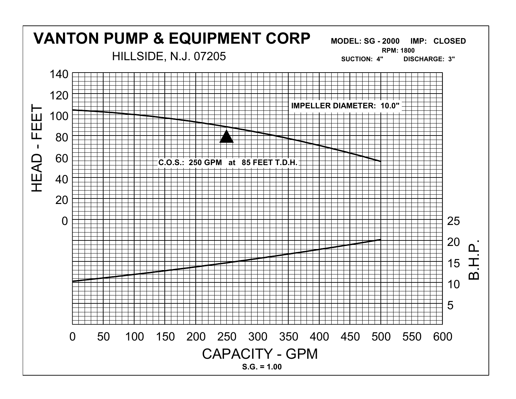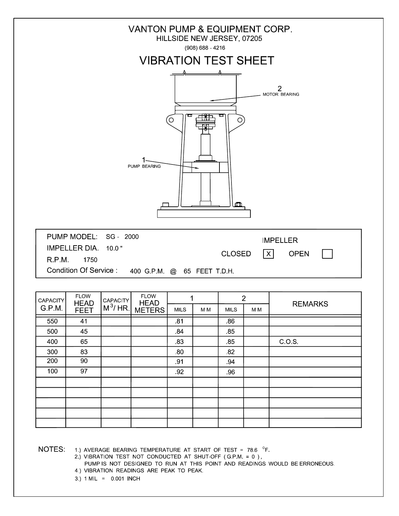

NOTES: 1.) AVERAGE BEARING TEMPERATURE AT START OF TEST =  $78.6$  °F.

2.) VIBRATION TEST NOT CONDUCTED AT SHUT-OFF (G.P.M. = 0),

- PUMP IS NOT DESIGNED TO RUN AT THIS POINT AND READINGS WOULD BE ERRONEOUS. 4.) VIBRATION READINGS ARE PEAK TO PEAK.
- 3.) 1 MIL = 0.001 INCH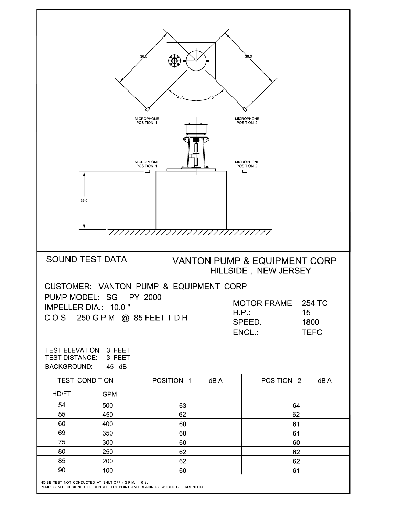| MICROPHONE<br>POSITION 1<br>MICROPHONE<br>POSITION 2<br><b>MICROPHONE</b><br>MICROPHONE<br>POSITION 1<br>POSITION 2<br>ᆷ<br>$\Box$<br>36.0                                                                                            |                   |  |  |  |  |  |  |
|---------------------------------------------------------------------------------------------------------------------------------------------------------------------------------------------------------------------------------------|-------------------|--|--|--|--|--|--|
| ///////////////<br>7777777777777                                                                                                                                                                                                      |                   |  |  |  |  |  |  |
|                                                                                                                                                                                                                                       |                   |  |  |  |  |  |  |
| <b>SOUND TEST DATA</b><br>VANTON PUMP & EQUIPMENT CORP.<br>HILLSIDE, NEW JERSEY                                                                                                                                                       |                   |  |  |  |  |  |  |
| CUSTOMER: VANTON PUMP & EQUIPMENT CORP.<br>PUMP MODEL: SG - PY 2000<br>MOTOR FRAME: 254 TC<br><b>IMPELLER DIA: 10.0"</b><br>H.P.<br>15 <sub>1</sub><br>C.O.S.: 250 G.P.M. @ 85 FEET T.D.H.<br>SPEED:<br>1800<br>ENCL.:<br><b>TEFC</b> |                   |  |  |  |  |  |  |
| TEST ELEVATION: 3 FEET<br>TEST DISTANCE: 3 FEET<br><b>BACKGROUND:</b><br>45 dB                                                                                                                                                        |                   |  |  |  |  |  |  |
| <b>TEST CONDITION</b><br>POSITION 1 -- dBA                                                                                                                                                                                            | POSITION 2 -- dBA |  |  |  |  |  |  |
| HD/FT<br><b>GPM</b>                                                                                                                                                                                                                   |                   |  |  |  |  |  |  |
| 54<br>500<br>63<br>64                                                                                                                                                                                                                 |                   |  |  |  |  |  |  |
| 62<br>55<br>62<br>450                                                                                                                                                                                                                 |                   |  |  |  |  |  |  |
| 60<br>400<br>60<br>61                                                                                                                                                                                                                 |                   |  |  |  |  |  |  |
| 69<br>350<br>61<br>60                                                                                                                                                                                                                 |                   |  |  |  |  |  |  |
| 75<br>300<br>60<br>60                                                                                                                                                                                                                 |                   |  |  |  |  |  |  |
| 80<br>250<br>62<br>62                                                                                                                                                                                                                 |                   |  |  |  |  |  |  |
| 85<br>200<br>62<br>62<br>90                                                                                                                                                                                                           |                   |  |  |  |  |  |  |
| 100<br>60<br>61                                                                                                                                                                                                                       |                   |  |  |  |  |  |  |